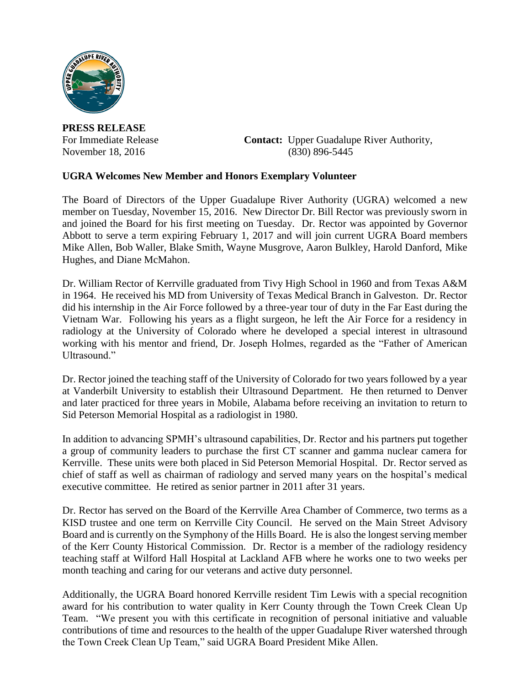

**PRESS RELEASE**

For Immediate Release **Contact:** Upper Guadalupe River Authority, November 18, 2016 (830) 896-5445

## **UGRA Welcomes New Member and Honors Exemplary Volunteer**

The Board of Directors of the Upper Guadalupe River Authority (UGRA) welcomed a new member on Tuesday, November 15, 2016. New Director Dr. Bill Rector was previously sworn in and joined the Board for his first meeting on Tuesday. Dr. Rector was appointed by Governor Abbott to serve a term expiring February 1, 2017 and will join current UGRA Board members Mike Allen, Bob Waller, Blake Smith, Wayne Musgrove, Aaron Bulkley, Harold Danford, Mike Hughes, and Diane McMahon.

Dr. William Rector of Kerrville graduated from Tivy High School in 1960 and from Texas A&M in 1964. He received his MD from University of Texas Medical Branch in Galveston. Dr. Rector did his internship in the Air Force followed by a three-year tour of duty in the Far East during the Vietnam War. Following his years as a flight surgeon, he left the Air Force for a residency in radiology at the University of Colorado where he developed a special interest in ultrasound working with his mentor and friend, Dr. Joseph Holmes, regarded as the "Father of American Ultrasound<sup>"</sup>

Dr. Rector joined the teaching staff of the University of Colorado for two years followed by a year at Vanderbilt University to establish their Ultrasound Department. He then returned to Denver and later practiced for three years in Mobile, Alabama before receiving an invitation to return to Sid Peterson Memorial Hospital as a radiologist in 1980.

In addition to advancing SPMH's ultrasound capabilities, Dr. Rector and his partners put together a group of community leaders to purchase the first CT scanner and gamma nuclear camera for Kerrville. These units were both placed in Sid Peterson Memorial Hospital. Dr. Rector served as chief of staff as well as chairman of radiology and served many years on the hospital's medical executive committee. He retired as senior partner in 2011 after 31 years.

Dr. Rector has served on the Board of the Kerrville Area Chamber of Commerce, two terms as a KISD trustee and one term on Kerrville City Council. He served on the Main Street Advisory Board and is currently on the Symphony of the Hills Board. He is also the longest serving member of the Kerr County Historical Commission. Dr. Rector is a member of the radiology residency teaching staff at Wilford Hall Hospital at Lackland AFB where he works one to two weeks per month teaching and caring for our veterans and active duty personnel.

Additionally, the UGRA Board honored Kerrville resident Tim Lewis with a special recognition award for his contribution to water quality in Kerr County through the Town Creek Clean Up Team. "We present you with this certificate in recognition of personal initiative and valuable contributions of time and resources to the health of the upper Guadalupe River watershed through the Town Creek Clean Up Team," said UGRA Board President Mike Allen.